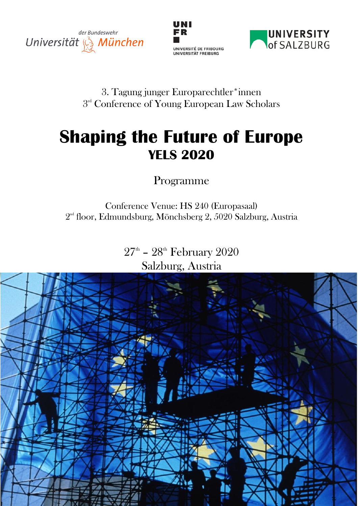





## 3. Tagung junger Europarechtler\*innen  $3<sup>rd</sup>$  Conference of Young European Law Scholars

# **Shaping the Future of Europe YELS 2020**

Programme

Conference Venue: HS 240 (Europasaal)  $2<sup>nd</sup>$  floor, Edmundsburg, Mönchsberg 2, 5020 Salzburg, Austria

> $27^{\text{\tiny th}}$  –  $28^{\text{\tiny th}}$  February  $2020$ Salzburg, Austria

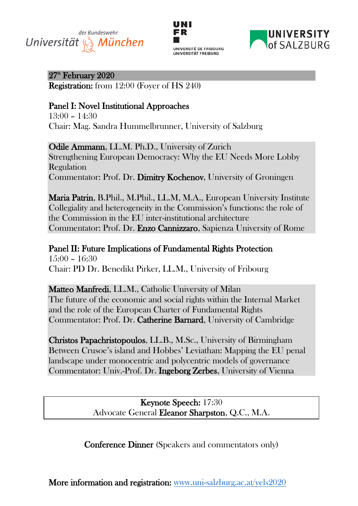# der Bundeswehr Universität  $\mathcal{Q}_3$  München





 $27<sup>th</sup>$  February  $2020$ 

Registration: from 12:00 (Foyer of HS 240)

### Panel I: Novel Institutional Approaches

 $13:00 - 14:30$ Chair: Mag. Sandra Hummelbrunner, University of Salzburg

Odile Ammann, LL.M. Ph.D., University of Zurich Strengthening European Democracy: Why the EU Needs More Lobby Regulation Commentator: Prof. Dr. Dimitry Kochenov, University of Groningen

Maria Patrin, B.Phil., M.Phil., LL.M, M.A., European University Institute Collegiality and heterogeneity in the Commission's functions: the role of the Commission in the EU inter-institutional architecture Commentator: Prof. Dr. Enzo Cannizzaro, Sapienza University of Rome

Panel II: Future Implications of Fundamental Rights Protection  $15:00 - 16:30$ Chair: PD Dr. Benedikt Pirker, LL.M., University of Fribourg

Matteo Manfredi, LL.M., Catholic University of Milan The future of the economic and social rights within the Internal Market and the role of the European Charter of Fundamental Rights Commentator: Prof. Dr. Catherine Barnard, University of Cambridge

Christos Papachristopoulos, LL.B., M.Sc., University of Birmingham Between Crusoe's island and Hobbes' Leviathan: Mapping the EU penal landscape under monocentric and polycentric models of governance Commentator: Univ.-Prof. Dr. Ingeborg Zerbes, University of Vienna

> Keynote Speech: 17:30 Advocate General Eleanor Sharpston, Q.C., M.A.

Conference Dinner (Speakers and commentators only)

More information and registration: www.uni-salzburg.ac.at/yels2020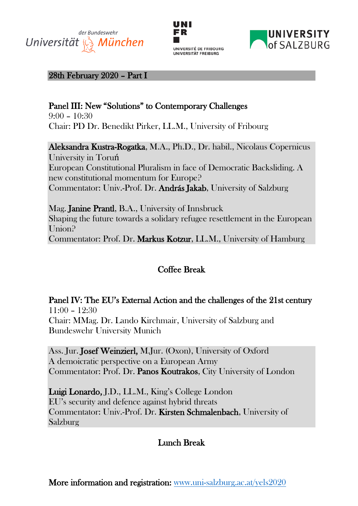# der Bundeswehr Universität & München





#### 28th February 2020 - Part I

## Panel III: New "Solutions" to Contemporary Challenges

 $9:00 - 10:30$ Chair: PD Dr. Benedikt Pirker, LL.M., University of Fribourg

Aleksandra Kustra-Rogatka, M.A., Ph.D., Dr. habil., Nicolaus Copernicus University in Toruń European Constitutional Pluralism in face of Democratic Backsliding. A new constitutional momentum for Europe? Commentator: Univ.-Prof. Dr. András Jakab, University of Salzburg

Mag. Janine Prantl, B.A., University of Innsbruck Shaping the future towards a solidary refugee resettlement in the European Union? Commentator: Prof. Dr. Markus Kotzur, LL.M., University of Hamburg

## Coffee Break

Panel IV: The EU's External Action and the challenges of the 21st century  $11:00 - 12:30$ Chair: MMag. Dr. Lando Kirchmair, University of Salzburg and Bundeswehr University Munich

Ass. Jur. Josef Weinzierl, M.Jur. (Oxon), University of Oxford A demoicratic perspective on a European Army Commentator: Prof. Dr. Panos Koutrakos, City University of London

Luigi Lonardo, J.D., LL.M., King's College London EU's security and defence against hybrid threats Commentator: Univ.-Prof. Dr. Kirsten Schmalenbach, University of Salzburg

## Lunch Break

More information and registration: www.uni-salzburg.ac.at/yels2020